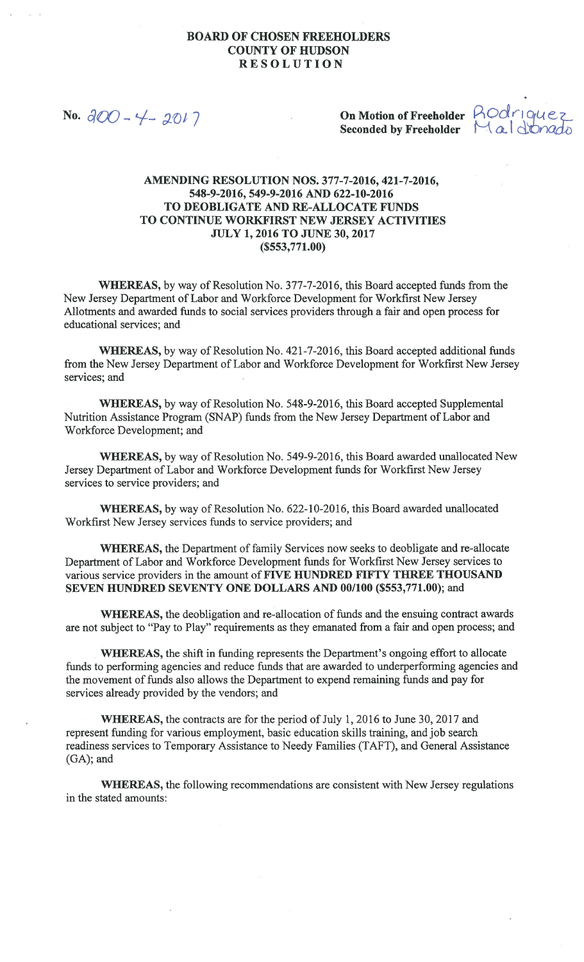No.  $300 - 4 - 2017$ 

Seconded by Freeholder  $Ma$  d.vrado

On Motion of Freeholder ROdrique?

## AMENDING RESOLUTION NOS. 377-7-2016, 421-7-2016, 548-9-2016, 549-9-2016 AND 622-10-2016 TO DEOBLIGATE AND RE-ALLOCATE FUNDS TO CONTINUE WORKFIRST NEW JERSEY ACTIVITIES JULY 1, 2016 TO JUNE 30, 2017 (\$553,771.00)

WHEREAS, by way of Resolution No. 377-7-2016, this Board accepted funds from the New Jersey Department of Labor and Workforce Development for Workfirst New Jersey Allotments and awarded funds to social services providers through a fair and open process for educational services; and

WHEREAS, by way of Resolution No. 421-7-2016, this Board accepted additional funds from the New Jersey Department of Labor and Workforce Development for Workfirst New Jersey services; and

WHEREAS, by way of Resolution No. 548-9-2016, this Board accepted Supplemental Nutrition Assistance Program (SNAP) funds from the New Jersey Department of Labor and Workforce Development; and

WHEREAS, by way of Resolution No. 549-9-2016, this Board awarded unallocated New Jersey Department of Labor and Workforce Development funds for Workfirst New Jersey services to service providers; and

WHEREAS, by way of Resolution No. 622-10-2016, this Board awarded unallocated Workfirst New Jersey services funds to service providers; and

WHEREAS, the Department of family Services now seeks to deobligate and re-allocate Department of Labor and Workforce Development funds for Workfirst New Jersey services to various service providers in the amount of FIVE HUNDRED FIFTY THREE THOUSAND SEVEN HUNDRED SEVENTY ONE DOLLARS AND 00/100 (\$553,771.00); and

WHEREAS, the deobligation and re-allocation of funds and the ensuing contract awards are not subject to "Pay to Play" requirements as they emanated from a fair and open process; and

WHEREAS, the shift in funding represents the Department's ongoing effort to allocate funds to performing agencies and reduce funds that are awarded to underperforming agencies and the movement of funds also allows the Department to expend remaining funds and pay for services already provided by the vendors; and

WHEREAS, the contracts are for the period of July 1, 2016 to June 30, 2017 and represent funding for various employment, basic education skills training, and job search readiness services to Temporary Assistance to Needy Families (TAFT), and General Assistance (GA); and

WHEREAS, the following recommendations are consistent with New Jersey regulations in the stated amounts: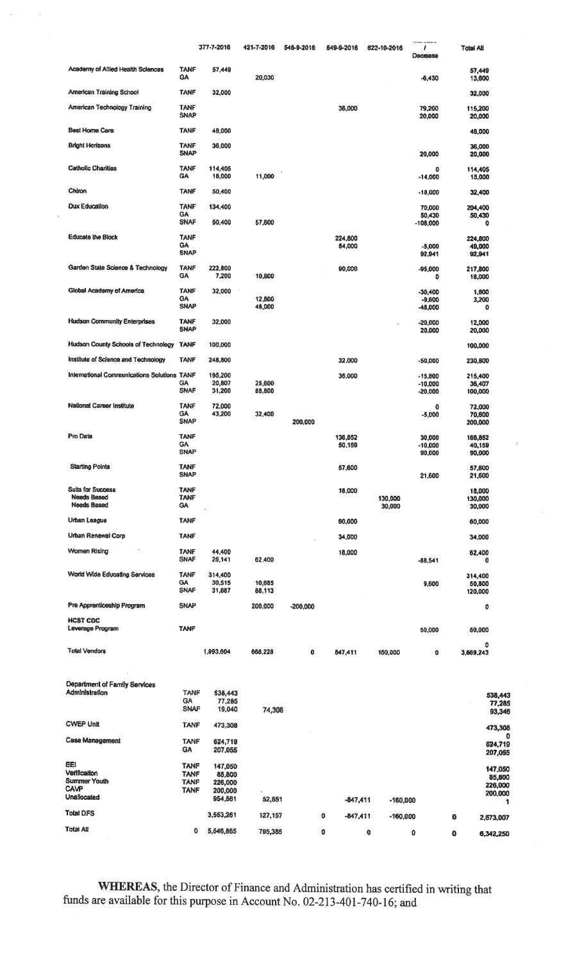|                                                                      |                                         | 377-7-2016                  | 421-7-2016         | 548-9-2016 | 549-9-2016         | 622-10-2016          | 1<br>Decrease                       |        | Total All                    |
|----------------------------------------------------------------------|-----------------------------------------|-----------------------------|--------------------|------------|--------------------|----------------------|-------------------------------------|--------|------------------------------|
| Academy of Allied Health Sciences                                    | <b>TANF</b><br><b>GA</b>                | 57,449                      | 20,030             |            |                    |                      | $-6,430$                            |        | 57,449<br>13,600             |
| American Training School                                             | <b>TANF</b>                             | 32,000                      |                    |            |                    |                      |                                     |        | 32,000                       |
| American Technology Training                                         | <b>TANF</b><br><b>SNAP</b>              |                             |                    |            | 36,000             |                      | 79,200<br>20,000                    |        | 115,200<br>20,000            |
| <b>Best Home Care</b>                                                | <b>TANF</b>                             | 48,000                      |                    |            |                    |                      |                                     |        | 48,000                       |
| <b>Bright Horizons</b>                                               | <b>TANF</b><br><b>SNAP</b>              | 36,000                      |                    |            |                    |                      | 20,000                              |        | 36,000<br>20,000             |
| <b>Catholic Charities</b>                                            | <b>TANF</b><br><b>GA</b>                | 114,405<br>18,000           | 11,000             |            |                    |                      | 0<br>$-14,000$                      |        | 114,405<br>15,000            |
| Chiron                                                               | <b>TANF</b>                             | 50,400                      |                    |            |                    |                      | $-18,000$                           |        | 32,400                       |
| <b>Dux Education</b>                                                 | <b>TANF</b>                             | 134,400                     |                    |            |                    |                      | 70,000                              |        | 204,400                      |
|                                                                      | <b>GA</b><br><b>SNAF</b>                | 50,400                      | 57,600             |            |                    |                      | 50,430<br>$-108,000$                |        | 50,430<br>0                  |
| <b>Educate the Block</b>                                             | <b>TANF</b><br><b>GA</b><br><b>SNAP</b> |                             |                    |            | 224,800<br>54,000  |                      | -5,000<br>92,941                    |        | 224,800<br>49,000<br>92,941  |
| Garden State Science & Technology                                    | <b>TANF</b><br><b>GA</b>                | 222,800<br>7,200            | 10,800             |            | 90,000             |                      | $-95,000$<br>0                      |        | 217,800<br>18,000            |
| Global Academy of America                                            | <b>TANF</b><br><b>GA</b><br><b>SNAP</b> | 32,000                      | 12,800<br>48,000   |            |                    |                      | $-30,400$<br>$-9,600$<br>-48,000    |        | 1,600<br>3,200<br>٥          |
| <b>Hudson Community Enterprises</b>                                  | <b>TANF</b><br><b>SNAP</b>              | 32,000                      |                    |            |                    |                      | $-20,000$<br>20,000                 |        | 12,000<br>20,000             |
| <b>Hudson County Schools of Technology</b>                           | <b>TANF</b>                             | 100,000                     |                    |            |                    |                      |                                     |        | 100,000                      |
| Institute of Science and Technology                                  | TANF                                    | 248,800                     |                    |            | 32,000             |                      | $-50,000$                           |        | 230,800                      |
| International Communications Solutions TANF                          | <b>GA</b><br><b>SNAF</b>                | 195,200<br>20,807<br>31,200 | 25,600<br>88,800   |            | 36,000             |                      | $-15,800$<br>$-10,000$<br>$-20,000$ |        | 215,400<br>36,407<br>100,000 |
| <b>National Career Institute</b>                                     | <b>TANF</b><br><b>GA</b><br><b>SNAP</b> | 72,000<br>43,200            | 32,400             | 200,000    |                    |                      | 0<br>$-5,000$                       |        | 72,000<br>70,600<br>200,000  |
| Pro Data                                                             | <b>TANF</b><br><b>GA</b><br><b>SNAP</b> |                             |                    |            | 136,852<br>50,159  |                      | 30,000<br>-10,000<br>90,000         |        | 166,852<br>40,159<br>90,000  |
| <b>Starting Points</b>                                               | TANF<br><b>SNAP</b>                     |                             |                    |            | 57,600             |                      | 21,600                              |        | 57,600<br>21,600             |
| <b>Suits for Success</b><br><b>Needs Based</b><br><b>Needs Based</b> | <b>TANF</b><br><b>TANF</b><br><b>GA</b> |                             |                    |            | 18,000             | 130,000<br>30,000    |                                     |        | 18,000<br>130,000<br>30,000  |
| Urban League                                                         | <b>TANF</b>                             |                             |                    |            | 60,000             |                      |                                     |        | 60,000                       |
| Urban Renewal Corp                                                   | <b>TANF</b>                             |                             |                    |            | 34,000             |                      |                                     |        | 34,000                       |
| Women Rising                                                         | <b>TANF</b><br><b>SNAF</b>              | 44,400<br>26,141            | 62,400             |            | 18,000             |                      | $-88,541$                           |        | 62,400<br>0                  |
| World Wide Educating Services                                        | <b>TANF</b><br><b>GA</b><br>SNAP        | 314,400<br>30,515<br>31,887 | 10,685<br>88,113   |            |                    |                      | 9,600                               |        | 314,400<br>50,800<br>120,000 |
| Pre Apprenticeship Program                                           | <b>SNAP</b>                             |                             | 200,000            | $-200,000$ |                    |                      |                                     |        | 0                            |
| <b>HCST CDC</b><br>Leverage Program                                  | <b>TANF</b>                             |                             |                    |            |                    |                      | 50,000                              |        | 50,000                       |
| <b>Total Vendors</b>                                                 |                                         | 1,993,604                   | 668,228            | 0          | 847,411            | 160,000              | 0                                   |        | 0<br>3,669,243               |
| Department of Family Services<br>Administration                      | <b>TANF</b><br><b>GA</b><br><b>SNAF</b> | 538,443<br>77,285<br>19,040 | 74,306             |            |                    |                      |                                     |        | 538,443<br>77,285<br>93,346  |
| <b>CWEP Unit</b>                                                     | <b>TANF</b>                             | 473,308                     |                    |            |                    |                      |                                     |        | 473,308                      |
| Case Management                                                      | <b>TANF</b><br><b>GA</b>                | 624,719<br>207,055          |                    |            |                    |                      |                                     |        | 624,719<br>207,055           |
| EEI                                                                  | TANF                                    | 147,050                     |                    |            |                    |                      |                                     |        | 147,050                      |
| Verification<br>Summer Youth                                         | <b>TANF</b><br><b>TANF</b>              | 85,800<br>226,000           |                    |            |                    |                      |                                     |        | 85,800<br>226,000            |
| <b>CAVP</b><br>Unallocated                                           | TANF                                    | 200,000<br>954,561          |                    |            |                    |                      |                                     |        | 200,000                      |
| <b>Total DFS</b>                                                     |                                         |                             | 52,851             |            | $-847,411$         | $-160,000$           |                                     |        | 1                            |
| Total All                                                            | 0                                       | 3,553,261<br>5,546,865      | 127,157<br>795,385 |            | 0<br>-847,411<br>0 | -160,000<br>$\bf{0}$ | 0                                   | 0<br>0 | 2,673,007<br>6,342,250       |
|                                                                      |                                         |                             |                    |            |                    |                      |                                     |        |                              |

 $\mathcal{O}$ 

WHEREAS, the Director of Finance and Administration has certified in writing that funds are available for this purpose in Account No. 02-213-401-740-16; and